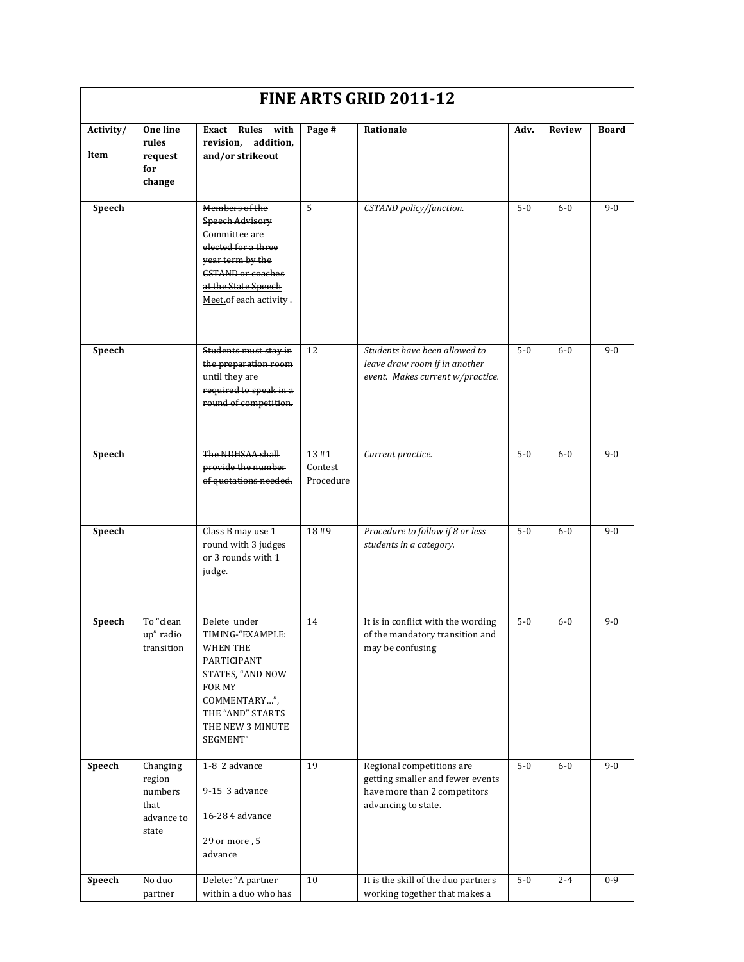| FINE ARTS GRID 2011-12 |                                                              |                                                                                                                                                                                   |                              |                                                                                                                      |         |         |              |  |
|------------------------|--------------------------------------------------------------|-----------------------------------------------------------------------------------------------------------------------------------------------------------------------------------|------------------------------|----------------------------------------------------------------------------------------------------------------------|---------|---------|--------------|--|
| Activity/<br>Item      | One line<br>rules<br>request<br>for<br>change                | Exact Rules with<br>revision, addition,<br>and/or strikeout                                                                                                                       | Page #                       | Rationale                                                                                                            | Adv.    | Review  | <b>Board</b> |  |
| Speech                 |                                                              | Members of the<br><b>Speech Advisory</b><br>Committee are<br>elected for a three<br>year term by the<br><b>CSTAND or coaches</b><br>at the State Speech<br>Meet.of each activity. | 5                            | CSTAND policy/function.                                                                                              | $5 - 0$ | $6-0$   | $9-0$        |  |
| Speech                 |                                                              | Students must stay in<br>the preparation room<br>until they are<br>required to speak in a<br>round of competition.                                                                | 12                           | Students have been allowed to<br>leave draw room if in another<br>event. Makes current w/practice.                   | $5 - 0$ | $6-0$   | $9-0$        |  |
| Speech                 |                                                              | The NDHSAA shall<br>provide the number<br>of quotations needed.                                                                                                                   | 13#1<br>Contest<br>Procedure | Current practice.                                                                                                    | $5-0$   | $6-0$   | $9 - 0$      |  |
| Speech                 |                                                              | Class B may use 1<br>round with 3 judges<br>or 3 rounds with 1<br>judge.                                                                                                          | 18#9                         | Procedure to follow if 8 or less<br>students in a category.                                                          | $5 - 0$ | $6-0$   | $9-0$        |  |
| Speech                 | To "clean<br>up" radio<br>transition                         | Delete under<br>TIMING-"EXAMPLE:<br><b>WHEN THE</b><br>PARTICIPANT<br>STATES, "AND NOW<br>FOR MY<br>COMMENTARY",<br>THE "AND" STARTS<br>THE NEW 3 MINUTE<br>SEGMENT"              | 14                           | It is in conflict with the wording<br>of the mandatory transition and<br>may be confusing                            | $5 - 0$ | $6-0$   | $9 - 0$      |  |
| Speech                 | Changing<br>region<br>numbers<br>that<br>advance to<br>state | 1-8 2 advance<br>9-15 3 advance<br>16-28 4 advance<br>29 or more, 5<br>advance                                                                                                    | 19                           | Regional competitions are<br>getting smaller and fewer events<br>have more than 2 competitors<br>advancing to state. | $5-0$   | $6-0$   | $9 - 0$      |  |
| Speech                 | No duo<br>partner                                            | Delete: "A partner<br>within a duo who has                                                                                                                                        | 10                           | It is the skill of the duo partners<br>working together that makes a                                                 | $5-0$   | $2 - 4$ | $0-9$        |  |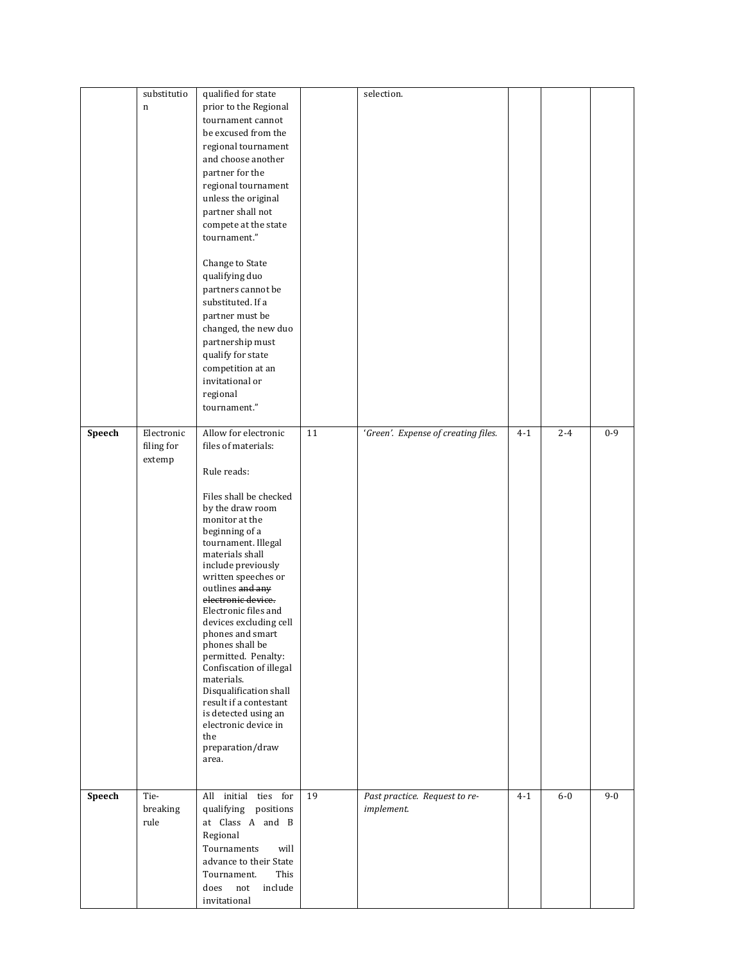|        | substitutio | qualified for state                          |    | selection.                          |         |         |         |
|--------|-------------|----------------------------------------------|----|-------------------------------------|---------|---------|---------|
|        | $\mathbf n$ | prior to the Regional                        |    |                                     |         |         |         |
|        |             | tournament cannot                            |    |                                     |         |         |         |
|        |             | be excused from the                          |    |                                     |         |         |         |
|        |             | regional tournament                          |    |                                     |         |         |         |
|        |             | and choose another                           |    |                                     |         |         |         |
|        |             | partner for the                              |    |                                     |         |         |         |
|        |             | regional tournament                          |    |                                     |         |         |         |
|        |             | unless the original                          |    |                                     |         |         |         |
|        |             | partner shall not                            |    |                                     |         |         |         |
|        |             | compete at the state                         |    |                                     |         |         |         |
|        |             | tournament."                                 |    |                                     |         |         |         |
|        |             |                                              |    |                                     |         |         |         |
|        |             | Change to State                              |    |                                     |         |         |         |
|        |             | qualifying duo                               |    |                                     |         |         |         |
|        |             | partners cannot be                           |    |                                     |         |         |         |
|        |             | substituted. If a                            |    |                                     |         |         |         |
|        |             | partner must be                              |    |                                     |         |         |         |
|        |             | changed, the new duo                         |    |                                     |         |         |         |
|        |             | partnership must                             |    |                                     |         |         |         |
|        |             | qualify for state                            |    |                                     |         |         |         |
|        |             | competition at an                            |    |                                     |         |         |         |
|        |             | invitational or                              |    |                                     |         |         |         |
|        |             | regional                                     |    |                                     |         |         |         |
|        |             | tournament."                                 |    |                                     |         |         |         |
|        |             |                                              |    |                                     |         |         |         |
| Speech | Electronic  | Allow for electronic                         | 11 | 'Green'. Expense of creating files. | $4 - 1$ | $2 - 4$ | $0 - 9$ |
|        | filing for  | files of materials:                          |    |                                     |         |         |         |
|        | extemp      | Rule reads:                                  |    |                                     |         |         |         |
|        |             |                                              |    |                                     |         |         |         |
|        |             | Files shall be checked                       |    |                                     |         |         |         |
|        |             | by the draw room                             |    |                                     |         |         |         |
|        |             | monitor at the                               |    |                                     |         |         |         |
|        |             | beginning of a<br>tournament. Illegal        |    |                                     |         |         |         |
|        |             | materials shall                              |    |                                     |         |         |         |
|        |             | include previously                           |    |                                     |         |         |         |
|        |             | written speeches or                          |    |                                     |         |         |         |
|        |             | outlines and any                             |    |                                     |         |         |         |
|        |             | electronic device.                           |    |                                     |         |         |         |
|        |             | Electronic files and                         |    |                                     |         |         |         |
|        |             | devices excluding cell<br>phones and smart   |    |                                     |         |         |         |
|        |             | phones shall be                              |    |                                     |         |         |         |
|        |             | permitted. Penalty:                          |    |                                     |         |         |         |
|        |             | Confiscation of illegal                      |    |                                     |         |         |         |
|        |             | materials.                                   |    |                                     |         |         |         |
|        |             | Disqualification shall                       |    |                                     |         |         |         |
|        |             | result if a contestant                       |    |                                     |         |         |         |
|        |             | is detected using an<br>electronic device in |    |                                     |         |         |         |
|        |             | the                                          |    |                                     |         |         |         |
|        |             | preparation/draw                             |    |                                     |         |         |         |
|        |             | area.                                        |    |                                     |         |         |         |
|        |             |                                              |    |                                     |         |         |         |
|        |             |                                              |    |                                     |         |         |         |
| Speech | Tie-        | All initial ties for                         | 19 | Past practice. Request to re-       | $4 - 1$ | $6-0$   | $9 - 0$ |
|        | breaking    | qualifying positions                         |    | implement.                          |         |         |         |
|        | rule        | at Class A and B                             |    |                                     |         |         |         |
|        |             | Regional                                     |    |                                     |         |         |         |
|        |             | Tournaments<br>will                          |    |                                     |         |         |         |
|        |             | advance to their State                       |    |                                     |         |         |         |
|        |             | Tournament.<br>This                          |    |                                     |         |         |         |
|        |             | not<br>include<br>does                       |    |                                     |         |         |         |
|        |             | invitational                                 |    |                                     |         |         |         |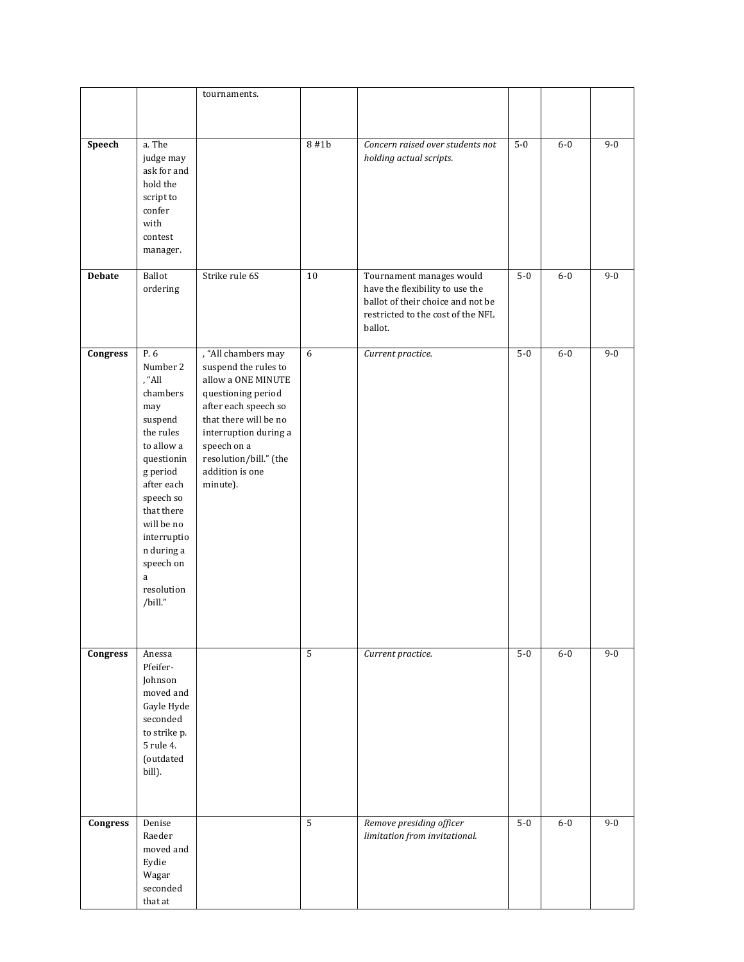|               |                                                                                                                                                                                                                                             | tournaments.                                                                                                                                                                                                                              |                |                                                                                                                                                  |       |       |         |
|---------------|---------------------------------------------------------------------------------------------------------------------------------------------------------------------------------------------------------------------------------------------|-------------------------------------------------------------------------------------------------------------------------------------------------------------------------------------------------------------------------------------------|----------------|--------------------------------------------------------------------------------------------------------------------------------------------------|-------|-------|---------|
|               |                                                                                                                                                                                                                                             |                                                                                                                                                                                                                                           |                |                                                                                                                                                  |       |       |         |
|               |                                                                                                                                                                                                                                             |                                                                                                                                                                                                                                           |                |                                                                                                                                                  |       |       |         |
| Speech        | a. The<br>judge may<br>ask for and<br>hold the<br>script to<br>confer<br>with                                                                                                                                                               |                                                                                                                                                                                                                                           | 8#1b           | Concern raised over students not<br>holding actual scripts.                                                                                      | $5-0$ | $6-0$ | $9 - 0$ |
|               | contest                                                                                                                                                                                                                                     |                                                                                                                                                                                                                                           |                |                                                                                                                                                  |       |       |         |
|               | manager.                                                                                                                                                                                                                                    |                                                                                                                                                                                                                                           |                |                                                                                                                                                  |       |       |         |
| <b>Debate</b> | <b>Ballot</b><br>ordering                                                                                                                                                                                                                   | Strike rule 6S                                                                                                                                                                                                                            | 10             | Tournament manages would<br>have the flexibility to use the<br>ballot of their choice and not be<br>restricted to the cost of the NFL<br>ballot. | $5-0$ | $6-0$ | $9 - 0$ |
| Congress      | P.6<br>Number 2<br>, "All<br>chambers<br>may<br>suspend<br>the rules<br>to allow a<br>questionin<br>g period<br>after each<br>speech so<br>that there<br>will be no<br>interruptio<br>n during a<br>speech on<br>a<br>resolution<br>/bill." | , "All chambers may<br>suspend the rules to<br>allow a ONE MINUTE<br>questioning period<br>after each speech so<br>that there will be no<br>interruption during a<br>speech on a<br>resolution/bill." (the<br>addition is one<br>minute). | 6              | Current practice.                                                                                                                                | $5-0$ | $6-0$ | $9 - 0$ |
| Congress      | Anessa<br>Pfeifer-<br>Johnson<br>moved and<br>Gayle Hyde<br>seconded<br>to strike p.<br>5 rule 4.<br>(outdated<br>bill).                                                                                                                    |                                                                                                                                                                                                                                           | $\mathsf S$    | Current practice.                                                                                                                                | $5-0$ | $6-0$ | $9 - 0$ |
| Congress      | Denise<br>Raeder<br>moved and<br>Eydie<br>Wagar<br>seconded<br>that at                                                                                                                                                                      |                                                                                                                                                                                                                                           | $\overline{5}$ | Remove presiding officer<br>limitation from invitational.                                                                                        | $5-0$ | $6-0$ | $9 - 0$ |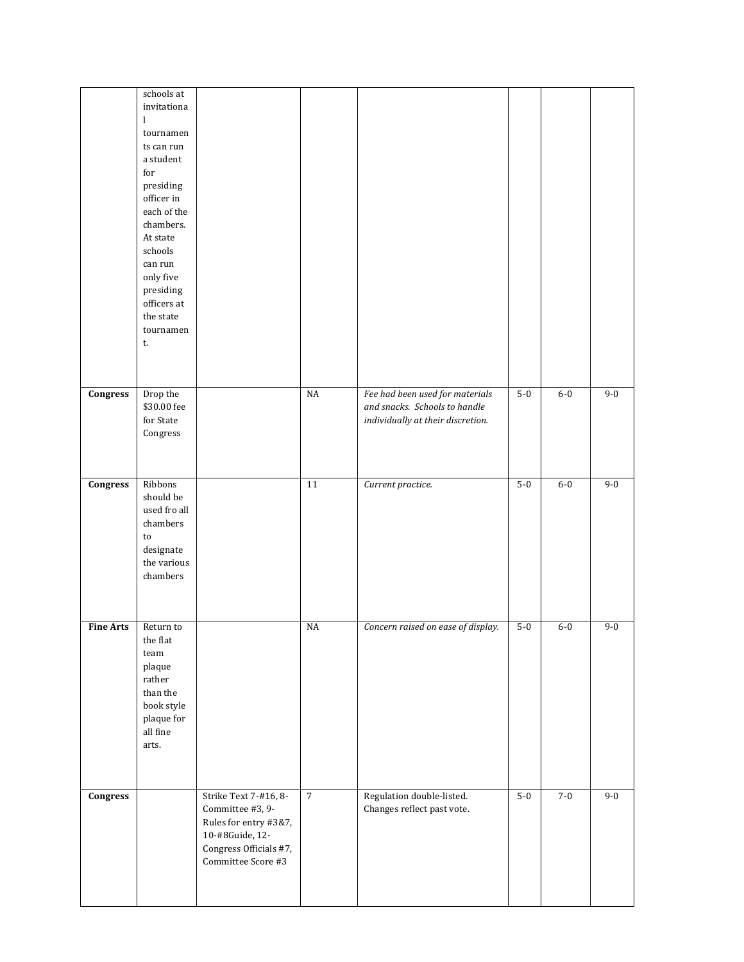|                  | schools at   |                        |                |                                    |       |         |         |
|------------------|--------------|------------------------|----------------|------------------------------------|-------|---------|---------|
|                  | invitationa  |                        |                |                                    |       |         |         |
|                  | $\mathbf{l}$ |                        |                |                                    |       |         |         |
|                  | tournamen    |                        |                |                                    |       |         |         |
|                  | ts can run   |                        |                |                                    |       |         |         |
|                  | a student    |                        |                |                                    |       |         |         |
|                  | for          |                        |                |                                    |       |         |         |
|                  |              |                        |                |                                    |       |         |         |
|                  | presiding    |                        |                |                                    |       |         |         |
|                  | officer in   |                        |                |                                    |       |         |         |
|                  | each of the  |                        |                |                                    |       |         |         |
|                  | chambers.    |                        |                |                                    |       |         |         |
|                  | At state     |                        |                |                                    |       |         |         |
|                  | schools      |                        |                |                                    |       |         |         |
|                  | can run      |                        |                |                                    |       |         |         |
|                  | only five    |                        |                |                                    |       |         |         |
|                  | presiding    |                        |                |                                    |       |         |         |
|                  | officers at  |                        |                |                                    |       |         |         |
|                  | the state    |                        |                |                                    |       |         |         |
|                  | tournamen    |                        |                |                                    |       |         |         |
|                  | t.           |                        |                |                                    |       |         |         |
|                  |              |                        |                |                                    |       |         |         |
|                  |              |                        |                |                                    |       |         |         |
|                  |              |                        |                |                                    |       |         |         |
| Congress         | Drop the     |                        | $_{\rm NA}$    | Fee had been used for materials    | $5-0$ | $6-0$   | $9 - 0$ |
|                  |              |                        |                | and snacks. Schools to handle      |       |         |         |
|                  | \$30.00 fee  |                        |                |                                    |       |         |         |
|                  | for State    |                        |                | individually at their discretion.  |       |         |         |
|                  | Congress     |                        |                |                                    |       |         |         |
|                  |              |                        |                |                                    |       |         |         |
|                  |              |                        |                |                                    |       |         |         |
|                  |              |                        |                |                                    |       |         |         |
| Congress         | Ribbons      |                        | 11             | Current practice.                  | $5-0$ | $6-0$   | $9 - 0$ |
|                  | should be    |                        |                |                                    |       |         |         |
|                  | used fro all |                        |                |                                    |       |         |         |
|                  | chambers     |                        |                |                                    |       |         |         |
|                  | to           |                        |                |                                    |       |         |         |
|                  | designate    |                        |                |                                    |       |         |         |
|                  | the various  |                        |                |                                    |       |         |         |
|                  | chambers     |                        |                |                                    |       |         |         |
|                  |              |                        |                |                                    |       |         |         |
|                  |              |                        |                |                                    |       |         |         |
|                  |              |                        |                |                                    |       |         |         |
| <b>Fine Arts</b> | Return to    |                        | $_{\rm NA}$    | Concern raised on ease of display. | $5-0$ | $6-0$   | $9 - 0$ |
|                  | the flat     |                        |                |                                    |       |         |         |
|                  | team         |                        |                |                                    |       |         |         |
|                  | plaque       |                        |                |                                    |       |         |         |
|                  | rather       |                        |                |                                    |       |         |         |
|                  | than the     |                        |                |                                    |       |         |         |
|                  | book style   |                        |                |                                    |       |         |         |
|                  |              |                        |                |                                    |       |         |         |
|                  | plaque for   |                        |                |                                    |       |         |         |
|                  | all fine     |                        |                |                                    |       |         |         |
|                  | arts.        |                        |                |                                    |       |         |         |
|                  |              |                        |                |                                    |       |         |         |
|                  |              |                        |                |                                    |       |         |         |
|                  |              |                        |                |                                    |       |         |         |
| Congress         |              | Strike Text 7-#16, 8-  | $\overline{7}$ | Regulation double-listed.          | $5-0$ | $7 - 0$ | $9 - 0$ |
|                  |              | Committee #3, 9-       |                | Changes reflect past vote.         |       |         |         |
|                  |              | Rules for entry #3&7,  |                |                                    |       |         |         |
|                  |              | 10-#8Guide, 12-        |                |                                    |       |         |         |
|                  |              | Congress Officials #7, |                |                                    |       |         |         |
|                  |              | Committee Score #3     |                |                                    |       |         |         |
|                  |              |                        |                |                                    |       |         |         |
|                  |              |                        |                |                                    |       |         |         |
|                  |              |                        |                |                                    |       |         |         |